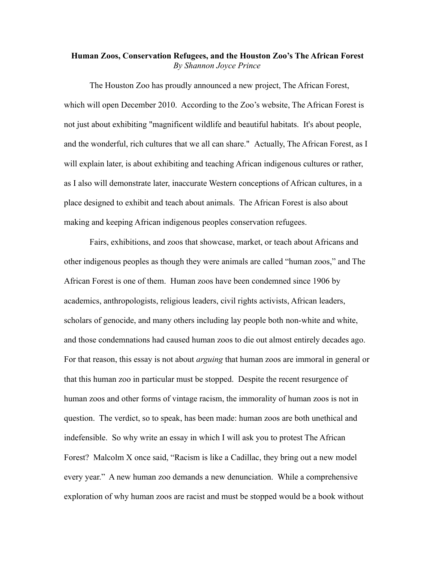## **Human Zoos, Conservation Refugees, and the Houston Zoo's The African Forest** *By Shannon Joyce Prince*

The Houston Zoo has proudly announced a new project, The African Forest, which will open December 2010. According to the Zoo's website, The African Forest is not just about exhibiting "magnificent wildlife and beautiful habitats. It's about people, and the wonderful, rich cultures that we all can share." Actually, The African Forest, as I will explain later, is about exhibiting and teaching African indigenous cultures or rather, as I also will demonstrate later, inaccurate Western conceptions of African cultures, in a place designed to exhibit and teach about animals. The African Forest is also about making and keeping African indigenous peoples conservation refugees.

Fairs, exhibitions, and zoos that showcase, market, or teach about Africans and other indigenous peoples as though they were animals are called "human zoos," and The African Forest is one of them. Human zoos have been condemned since 1906 by academics, anthropologists, religious leaders, civil rights activists, African leaders, scholars of genocide, and many others including lay people both non-white and white, and those condemnations had caused human zoos to die out almost entirely decades ago. For that reason, this essay is not about *arguing* that human zoos are immoral in general or that this human zoo in particular must be stopped. Despite the recent resurgence of human zoos and other forms of vintage racism, the immorality of human zoos is not in question. The verdict, so to speak, has been made: human zoos are both unethical and indefensible. So why write an essay in which I will ask you to protest The African Forest? Malcolm X once said, "Racism is like a Cadillac, they bring out a new model every year." A new human zoo demands a new denunciation. While a comprehensive exploration of why human zoos are racist and must be stopped would be a book without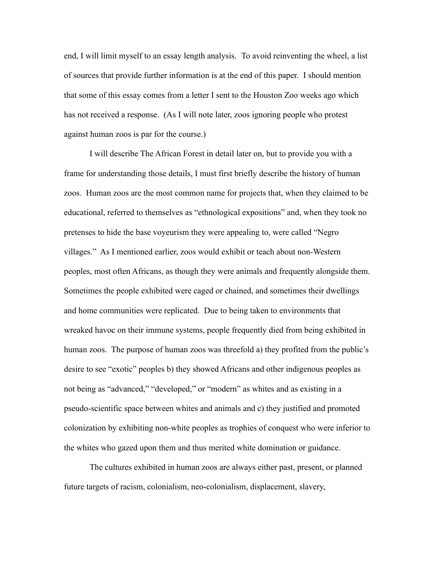end, I will limit myself to an essay length analysis. To avoid reinventing the wheel, a list of sources that provide further information is at the end of this paper. I should mention that some of this essay comes from a letter I sent to the Houston Zoo weeks ago which has not received a response. (As I will note later, zoos ignoring people who protest against human zoos is par for the course.)

I will describe The African Forest in detail later on, but to provide you with a frame for understanding those details, I must first briefly describe the history of human zoos. Human zoos are the most common name for projects that, when they claimed to be educational, referred to themselves as "ethnological expositions" and, when they took no pretenses to hide the base voyeurism they were appealing to, were called "Negro villages." As I mentioned earlier, zoos would exhibit or teach about non-Western peoples, most often Africans, as though they were animals and frequently alongside them. Sometimes the people exhibited were caged or chained, and sometimes their dwellings and home communities were replicated. Due to being taken to environments that wreaked havoc on their immune systems, people frequently died from being exhibited in human zoos. The purpose of human zoos was threefold a) they profited from the public's desire to see "exotic" peoples b) they showed Africans and other indigenous peoples as not being as "advanced," "developed," or "modern" as whites and as existing in a pseudo-scientific space between whites and animals and c) they justified and promoted colonization by exhibiting non-white peoples as trophies of conquest who were inferior to the whites who gazed upon them and thus merited white domination or guidance.

The cultures exhibited in human zoos are always either past, present, or planned future targets of racism, colonialism, neo-colonialism, displacement, slavery,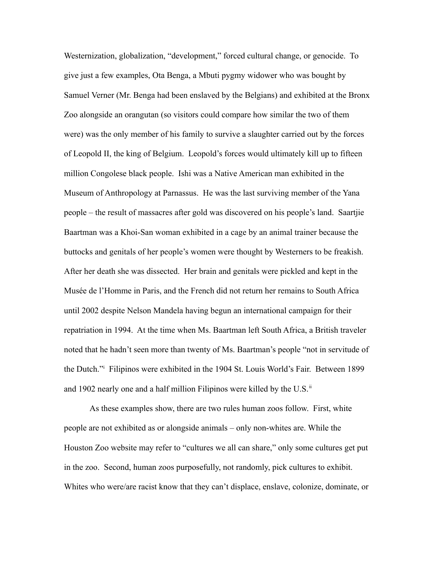Westernization, globalization, "development," forced cultural change, or genocide. To give just a few examples, Ota Benga, a Mbuti pygmy widower who was bought by Samuel Verner (Mr. Benga had been enslaved by the Belgians) and exhibited at the Bronx Zoo alongside an orangutan (so visitors could compare how similar the two of them were) was the only member of his family to survive a slaughter carried out by the forces of Leopold II, the king of Belgium. Leopold's forces would ultimately kill up to fifteen million Congolese black people. Ishi was a Native American man exhibited in the Museum of Anthropology at Parnassus. He was the last surviving member of the Yana people – the result of massacres after gold was discovered on his people's land. Saartjie Baartman was a Khoi-San woman exhibited in a cage by an animal trainer because the buttocks and genitals of her people's women were thought by Westerners to be freakish. After her death she was dissected. Her brain and genitals were pickled and kept in the Musée de l'Homme in Paris, and the French did not return her remains to South Africa until 2002 despite Nelson Mandela having begun an international campaign for their repatriation in 1994. At the time when Ms. Baartman left South Africa, a British traveler noted that he hadn't seen more than twenty of Ms. Baartman's people "not in servitude of the Dutch."[i](#page-38-0) Filipinos were exhibited in the 1904 St. Louis World's Fair. Between 1899 and 1902 nearly one and a half million Filipinos were killed by the U.S. $^{\text{ii}}$  $^{\text{ii}}$  $^{\text{ii}}$ 

As these examples show, there are two rules human zoos follow. First, white people are not exhibited as or alongside animals – only non-whites are. While the Houston Zoo website may refer to "cultures we all can share," only some cultures get put in the zoo. Second, human zoos purposefully, not randomly, pick cultures to exhibit. Whites who were/are racist know that they can't displace, enslave, colonize, dominate, or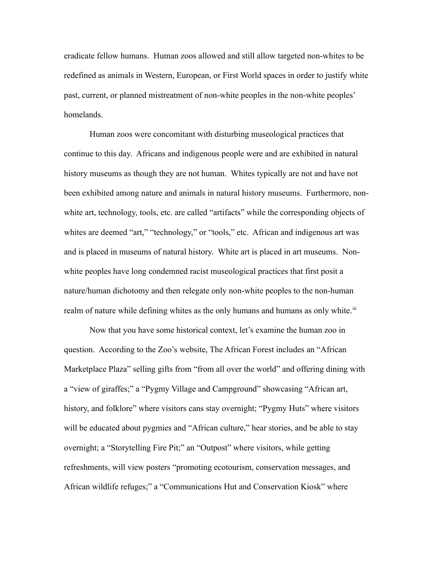eradicate fellow humans. Human zoos allowed and still allow targeted non-whites to be redefined as animals in Western, European, or First World spaces in order to justify white past, current, or planned mistreatment of non-white peoples in the non-white peoples' homelands.

Human zoos were concomitant with disturbing museological practices that continue to this day. Africans and indigenous people were and are exhibited in natural history museums as though they are not human. Whites typically are not and have not been exhibited among nature and animals in natural history museums. Furthermore, nonwhite art, technology, tools, etc. are called "artifacts" while the corresponding objects of whites are deemed "art," "technology," or "tools," etc. African and indigenous art was and is placed in museums of natural history. White art is placed in art museums. Nonwhite peoples have long condemned racist museological practices that first posit a nature/human dichotomy and then relegate only non-white peoples to the non-human realm of nature while defining whites as the only humans and humans as only white.<sup>[iii](#page-38-2)</sup>

Now that you have some historical context, let's examine the human zoo in question. According to the Zoo's website, The African Forest includes an "African Marketplace Plaza" selling gifts from "from all over the world" and offering dining with a "view of giraffes;" a "Pygmy Village and Campground" showcasing "African art, history, and folklore" where visitors cans stay overnight; "Pygmy Huts" where visitors will be educated about pygmies and "African culture," hear stories, and be able to stay overnight; a "Storytelling Fire Pit;" an "Outpost" where visitors, while getting refreshments, will view posters "promoting ecotourism, conservation messages, and African wildlife refuges;" a "Communications Hut and Conservation Kiosk" where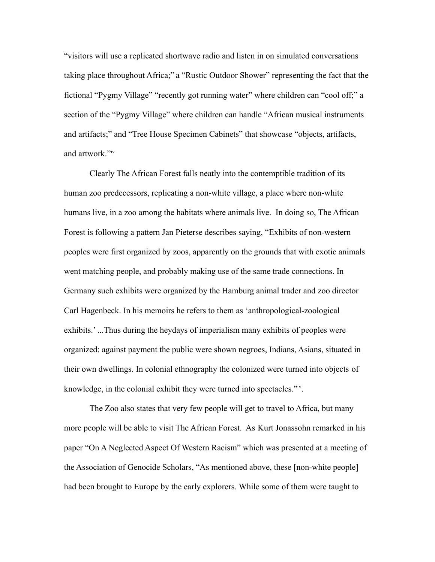"visitors will use a replicated shortwave radio and listen in on simulated conversations taking place throughout Africa;" a "Rustic Outdoor Shower" representing the fact that the fictional "Pygmy Village" "recently got running water" where children can "cool off;" a section of the "Pygmy Village" where children can handle "African musical instruments and artifacts;" and "Tree House Specimen Cabinets" that showcase "objects, artifacts, and artwork."[iv](#page-38-3)

Clearly The African Forest falls neatly into the contemptible tradition of its human zoo predecessors, replicating a non-white village, a place where non-white humans live, in a zoo among the habitats where animals live. In doing so, The African Forest is following a pattern Jan Pieterse describes saying, "Exhibits of non-western peoples were first organized by zoos, apparently on the grounds that with exotic animals went matching people, and probably making use of the same trade connections. In Germany such exhibits were organized by the Hamburg animal trader and zoo director Carl Hagenbeck. In his memoirs he refers to them as 'anthropological-zoological exhibits.' ...Thus during the heydays of imperialism many exhibits of peoples were organized: against payment the public were shown negroes, Indians, Asians, situated in their own dwellings. In colonial ethnography the colonized were turned into objects of knowledge, in the colonial exhibit they were turned into spectacles."<sup>[v](#page-38-4)</sup>.

The Zoo also states that very few people will get to travel to Africa, but many more people will be able to visit The African Forest. As Kurt Jonassohn remarked in his paper "On A Neglected Aspect Of Western Racism" which was presented at a meeting of the Association of Genocide Scholars, "As mentioned above, these [non-white people] had been brought to Europe by the early explorers. While some of them were taught to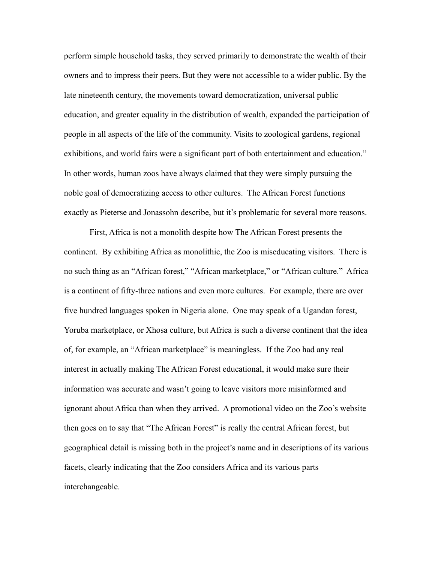perform simple household tasks, they served primarily to demonstrate the wealth of their owners and to impress their peers. But they were not accessible to a wider public. By the late nineteenth century, the movements toward democratization, universal public education, and greater equality in the distribution of wealth, expanded the participation of people in all aspects of the life of the community. Visits to zoological gardens, regional exhibitions, and world fairs were a significant part of both entertainment and education." In other words, human zoos have always claimed that they were simply pursuing the noble goal of democratizing access to other cultures. The African Forest functions exactly as Pieterse and Jonassohn describe, but it's problematic for several more reasons.

First, Africa is not a monolith despite how The African Forest presents the continent. By exhibiting Africa as monolithic, the Zoo is miseducating visitors. There is no such thing as an "African forest," "African marketplace," or "African culture." Africa is a continent of fifty-three nations and even more cultures. For example, there are over five hundred languages spoken in Nigeria alone. One may speak of a Ugandan forest, Yoruba marketplace, or Xhosa culture, but Africa is such a diverse continent that the idea of, for example, an "African marketplace" is meaningless. If the Zoo had any real interest in actually making The African Forest educational, it would make sure their information was accurate and wasn't going to leave visitors more misinformed and ignorant about Africa than when they arrived. A promotional video on the Zoo's website then goes on to say that "The African Forest" is really the central African forest, but geographical detail is missing both in the project's name and in descriptions of its various facets, clearly indicating that the Zoo considers Africa and its various parts interchangeable.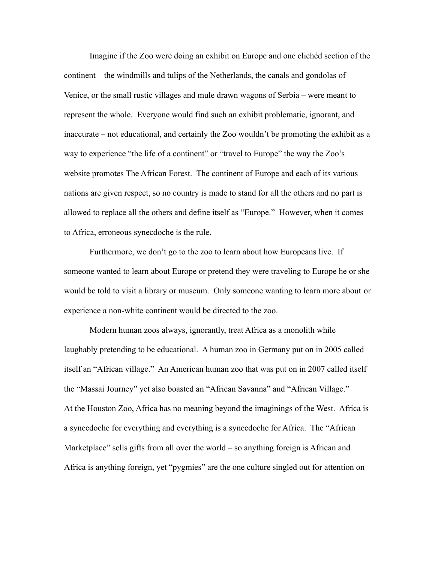Imagine if the Zoo were doing an exhibit on Europe and one clichéd section of the continent – the windmills and tulips of the Netherlands, the canals and gondolas of Venice, or the small rustic villages and mule drawn wagons of Serbia – were meant to represent the whole. Everyone would find such an exhibit problematic, ignorant, and inaccurate – not educational, and certainly the Zoo wouldn't be promoting the exhibit as a way to experience "the life of a continent" or "travel to Europe" the way the Zoo's website promotes The African Forest. The continent of Europe and each of its various nations are given respect, so no country is made to stand for all the others and no part is allowed to replace all the others and define itself as "Europe." However, when it comes to Africa, erroneous synecdoche is the rule.

Furthermore, we don't go to the zoo to learn about how Europeans live. If someone wanted to learn about Europe or pretend they were traveling to Europe he or she would be told to visit a library or museum. Only someone wanting to learn more about or experience a non-white continent would be directed to the zoo.

Modern human zoos always, ignorantly, treat Africa as a monolith while laughably pretending to be educational. A human zoo in Germany put on in 2005 called itself an "African village." An American human zoo that was put on in 2007 called itself the "Massai Journey" yet also boasted an "African Savanna" and "African Village." At the Houston Zoo, Africa has no meaning beyond the imaginings of the West. Africa is a synecdoche for everything and everything is a synecdoche for Africa. The "African Marketplace" sells gifts from all over the world – so anything foreign is African and Africa is anything foreign, yet "pygmies" are the one culture singled out for attention on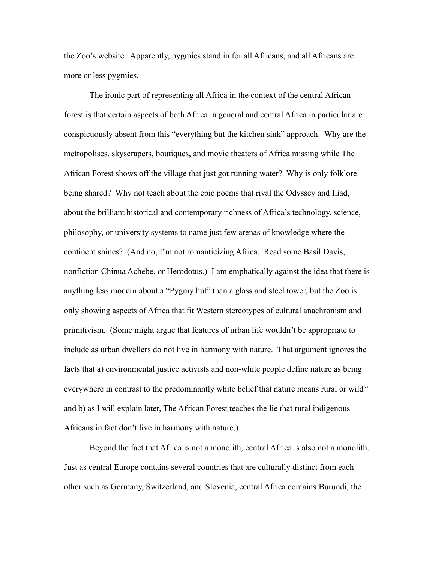the Zoo's website. Apparently, pygmies stand in for all Africans, and all Africans are more or less pygmies.

The ironic part of representing all Africa in the context of the central African forest is that certain aspects of both Africa in general and central Africa in particular are conspicuously absent from this "everything but the kitchen sink" approach. Why are the metropolises, skyscrapers, boutiques, and movie theaters of Africa missing while The African Forest shows off the village that just got running water? Why is only folklore being shared? Why not teach about the epic poems that rival the Odyssey and Iliad, about the brilliant historical and contemporary richness of Africa's technology, science, philosophy, or university systems to name just few arenas of knowledge where the continent shines? (And no, I'm not romanticizing Africa. Read some Basil Davis, nonfiction Chinua Achebe, or Herodotus.) I am emphatically against the idea that there is anything less modern about a "Pygmy hut" than a glass and steel tower, but the Zoo is only showing aspects of Africa that fit Western stereotypes of cultural anachronism and primitivism. (Some might argue that features of urban life wouldn't be appropriate to include as urban dwellers do not live in harmony with nature. That argument ignores the facts that a) environmental justice activists and non-white people define nature as being everywhere in contrast to the predominantly white belief that nature means rural or wild<sup>[vi](#page-38-5)</sup> and b) as I will explain later, The African Forest teaches the lie that rural indigenous Africans in fact don't live in harmony with nature.)

Beyond the fact that Africa is not a monolith, central Africa is also not a monolith. Just as central Europe contains several countries that are culturally distinct from each other such as Germany, Switzerland, and Slovenia, central Africa contains [Burundi,](http://en.wikipedia.org/wiki/Burundi) the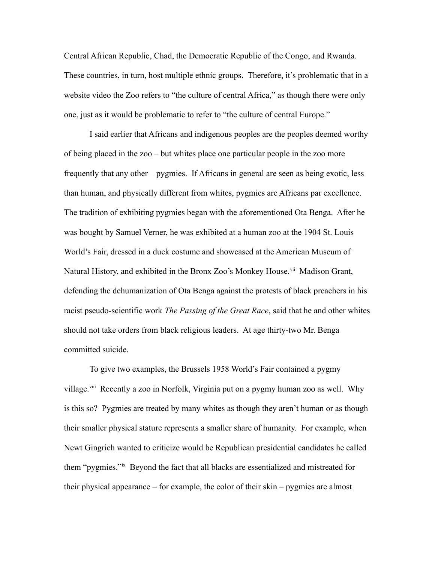[Central African Republic,](http://en.wikipedia.org/wiki/Central_African_Republic) [Chad,](http://en.wikipedia.org/wiki/Chad) the [Democratic Republic of the Congo,](http://en.wikipedia.org/wiki/Democratic_Republic_of_the_Congo) and [Rwanda.](http://en.wikipedia.org/wiki/Rwanda) These countries, in turn, host multiple ethnic groups. Therefore, it's problematic that in a website video the Zoo refers to "the culture of central Africa," as though there were only one, just as it would be problematic to refer to "the culture of central Europe."

I said earlier that Africans and indigenous peoples are the peoples deemed worthy of being placed in the zoo – but whites place one particular people in the zoo more frequently that any other – pygmies. If Africans in general are seen as being exotic, less than human, and physically different from whites, pygmies are Africans par excellence. The tradition of exhibiting pygmies began with the aforementioned Ota Benga. After he was bought by Samuel Verner, he was exhibited at a human zoo at the 1904 St. Louis World's Fair, dressed in a duck costume and showcased at the American Museum of Natural History, and exhibited in the Bronx Zoo's Monkey House.<sup>[vii](#page-38-6)</sup> Madison Grant, defending the dehumanization of Ota Benga against the protests of black preachers in his racist pseudo-scientific work *The Passing of the Great Race*, said that he and other whites should not take orders from black religious leaders. At age thirty-two Mr. Benga committed suicide.

To give two examples, the Brussels 1958 World's Fair contained a pygmy village.<sup>[viii](#page-38-7)</sup> Recently a zoo in Norfolk, Virginia put on a pygmy human zoo as well. Why is this so? Pygmies are treated by many whites as though they aren't human or as though their smaller physical stature represents a smaller share of humanity. For example, when Newt Gingrich wanted to criticize would be Republican presidential candidates he called them "pygmies."[ix](#page-38-8) Beyond the fact that all blacks are essentialized and mistreated for their physical appearance – for example, the color of their skin – pygmies are almost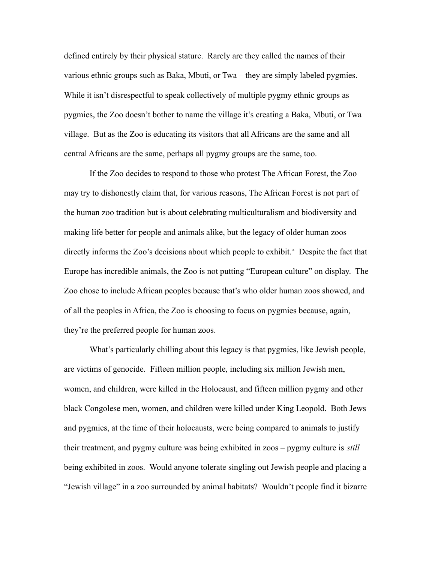defined entirely by their physical stature. Rarely are they called the names of their various ethnic groups such as Baka, Mbuti, or Twa – they are simply labeled pygmies. While it isn't disrespectful to speak collectively of multiple pygmy ethnic groups as pygmies, the Zoo doesn't bother to name the village it's creating a Baka, Mbuti, or Twa village. But as the Zoo is educating its visitors that all Africans are the same and all central Africans are the same, perhaps all pygmy groups are the same, too.

If the Zoo decides to respond to those who protest The African Forest, the Zoo may try to dishonestly claim that, for various reasons, The African Forest is not part of the human zoo tradition but is about celebrating multiculturalism and biodiversity and making life better for people and animals alike, but the legacy of older human zoos directly informs the Zoo's decisions about which people to e[x](#page-38-9)hibit.<sup>x</sup> Despite the fact that Europe has incredible animals, the Zoo is not putting "European culture" on display. The Zoo chose to include African peoples because that's who older human zoos showed, and of all the peoples in Africa, the Zoo is choosing to focus on pygmies because, again, they're the preferred people for human zoos.

What's particularly chilling about this legacy is that pygmies, like Jewish people, are victims of genocide. Fifteen million people, including six million Jewish men, women, and children, were killed in the Holocaust, and fifteen million pygmy and other black Congolese men, women, and children were killed under King Leopold. Both Jews and pygmies, at the time of their holocausts, were being compared to animals to justify their treatment, and pygmy culture was being exhibited in zoos – pygmy culture is *still* being exhibited in zoos. Would anyone tolerate singling out Jewish people and placing a "Jewish village" in a zoo surrounded by animal habitats? Wouldn't people find it bizarre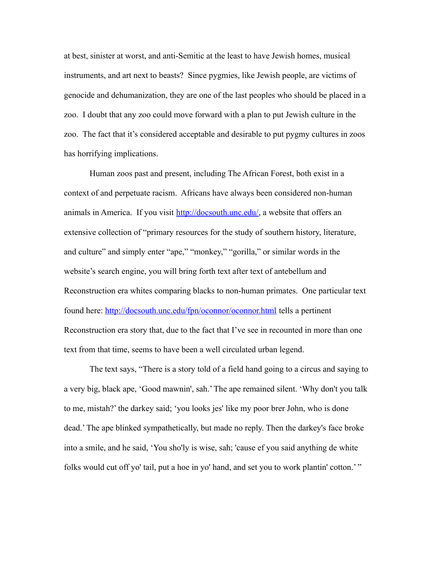at best, sinister at worst, and anti-Semitic at the least to have Jewish homes, musical instruments, and art next to beasts? Since pygmies, like Jewish people, are victims of genocide and dehumanization, they are one of the last peoples who should be placed in a zoo. I doubt that any zoo could move forward with a plan to put Jewish culture in the zoo. The fact that it's considered acceptable and desirable to put pygmy cultures in zoos has horrifying implications.

Human zoos past and present, including The African Forest, both exist in a context of and perpetuate racism. Africans have always been considered non-human animals in America. If you visit [http://docsouth.unc.edu/,](http://docsouth.unc.edu/) a website that offers an extensive collection of "primary resources for the study of southern history, literature, and culture" and simply enter "ape," "monkey," "gorilla," or similar words in the website's search engine, you will bring forth text after text of antebellum and Reconstruction era whites comparing blacks to non-human primates. One particular text found here:<http://docsouth.unc.edu/fpn/oconnor/oconnor.html> tells a pertinent Reconstruction era story that, due to the fact that I've see in recounted in more than one text from that time, seems to have been a well circulated urban legend.

The text says, "There is a story told of a field hand going to a circus and saying to a very big, black ape, 'Good mawnin', sah.' The ape remained silent. 'Why don't you talk to me, mistah?' the darkey said; 'you looks jes' like my poor brer John, who is done dead.' The ape blinked sympathetically, but made no reply. Then the darkey's face broke into a smile, and he said, 'You sho'ly is wise, sah; 'cause ef you said anything de white folks would cut off yo' tail, put a hoe in yo' hand, and set you to work plantin' cotton.'"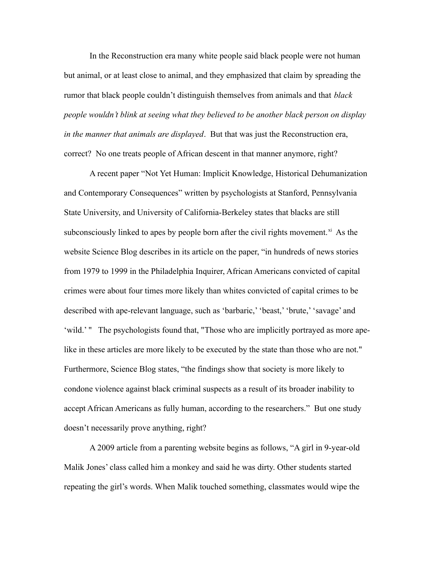In the Reconstruction era many white people said black people were not human but animal, or at least close to animal, and they emphasized that claim by spreading the rumor that black people couldn't distinguish themselves from animals and that *black people wouldn't blink at seeing what they believed to be another black person on display in the manner that animals are displayed*. But that was just the Reconstruction era, correct? No one treats people of African descent in that manner anymore, right?

A recent paper "Not Yet Human: Implicit Knowledge, Historical Dehumanization and Contemporary Consequences" written by psychologists at Stanford, Pennsylvania State University, and University of California-Berkeley states that blacks are still subconsciously linked to apes by people born after the civil rights movement. $x_i$  As the website Science Blog describes in its article on the paper, "in hundreds of news stories from 1979 to 1999 in the Philadelphia Inquirer, African Americans convicted of capital crimes were about four times more likely than whites convicted of capital crimes to be described with ape-relevant language, such as 'barbaric,' 'beast,' 'brute,' 'savage' and 'wild.' " The psychologists found that, "Those who are implicitly portrayed as more apelike in these articles are more likely to be executed by the state than those who are not." Furthermore, Science Blog states, "the findings show that society is more likely to condone violence against black criminal suspects as a result of its broader inability to accept African Americans as fully human, according to the researchers." But one study doesn't necessarily prove anything, right?

A 2009 article from a parenting website begins as follows, "A girl in 9-year-old Malik Jones' class called him a monkey and said he was dirty. Other students started repeating the girl's words. When Malik touched something, classmates would wipe the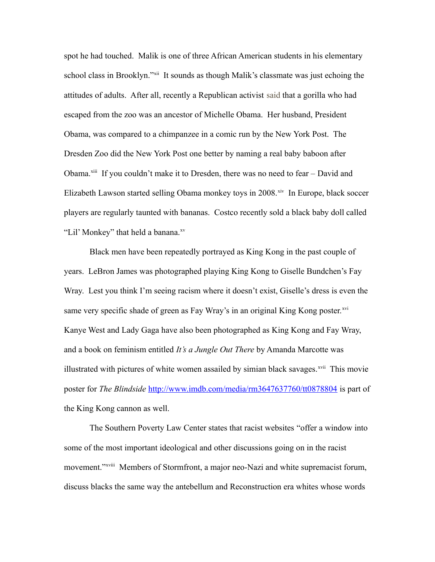spot he had touched. Malik is one of three African American students in his elementary school class in Brooklyn."<sup>[xii](#page-38-11)</sup> It sounds as though Malik's classmate was just echoing the attitudes of adults. After all, recently a Republican activist said that a gorilla who had escaped from the zoo was an ancestor of Michelle Obama. Her husband, President Obama, was compared to a chimpanzee in a comic run by the New York Post. The Dresden Zoo did the New York Post one better by naming a real baby baboon after Obama.<sup>[xiii](#page-38-12)</sup> If you couldn't make it to Dresden, there was no need to fear – David and Elizabeth Lawson started selling Obama monkey toys in 2008.<sup>[xiv](#page-38-13)</sup> In Europe, black soccer players are regularly taunted with bananas. Costco recently sold a black baby doll called "Lil' Monkey" that held a banana.<sup>[xv](#page-38-14)</sup>

Black men have been repeatedly portrayed as King Kong in the past couple of years. LeBron James was photographed playing King Kong to Giselle Bundchen's Fay Wray. Lest you think I'm seeing racism where it doesn't exist, Giselle's dress is even the same very specific shade of green as Fay Wray's in an original King Kong poster.<sup>[xvi](#page-38-15)</sup> Kanye West and Lady Gaga have also been photographed as King Kong and Fay Wray, and a book on feminism entitled *It's a Jungle Out There* by Amanda Marcotte was illustrated with pictures of white women assailed by simian black savages.<sup>[xvii](#page-38-16)</sup> This movie poster for *The Blindside* <http://www.imdb.com/media/rm3647637760/tt0878804> is part of the King Kong cannon as well.

The Southern Poverty Law Center states that racist websites "offer a window into some of the most important ideological and other discussions going on in the racist movement."[xviii](#page-38-17) Members of Stormfront, a major neo-Nazi and white supremacist forum, discuss blacks the same way the antebellum and Reconstruction era whites whose words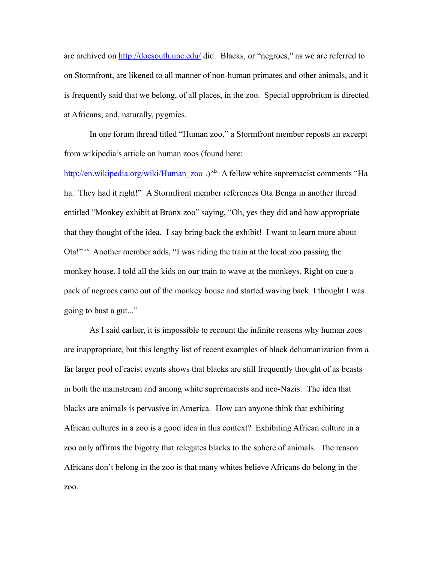are archived on<http://docsouth.unc.edu/>did. Blacks, or "negroes," as we are referred to on Stormfront, are likened to all manner of non-human primates and other animals, and it is frequently said that we belong, of all places, in the zoo. Special opprobrium is directed at Africans, and, naturally, pygmies.

In one forum thread titled "Human zoo," a Stormfront member reposts an excerpt from wikipedia's article on human zoos (found here:

[http://en.wikipedia.org/wiki/Human\\_zoo](http://en.wikipedia.org/wiki/Human_zoo) .) [xix](#page-38-18) A fellow white supremacist comments "Ha ha. They had it right!" A Stormfront member references Ota Benga in another thread entitled "Monkey exhibit at Bronx zoo" saying, "Oh, yes they did and how appropriate that they thought of the idea. I say bring back the exhibit! I want to learn more about Ota!"<sup>[xx](#page-38-19)</sup> Another member adds, "I was riding the train at the local zoo passing the monkey house. I told all the kids on our train to wave at the monkeys. Right on cue a pack of negroes came out of the monkey house and started waving back. I thought I was going to bust a gut..."

As I said earlier, it is impossible to recount the infinite reasons why human zoos are inappropriate, but this lengthy list of recent examples of black dehumanization from a far larger pool of racist events shows that blacks are still frequently thought of as beasts in both the mainstream and among white supremacists and neo-Nazis. The idea that blacks are animals is pervasive in America. How can anyone think that exhibiting African cultures in a zoo is a good idea in this context? Exhibiting African culture in a zoo only affirms the bigotry that relegates blacks to the sphere of animals. The reason Africans don't belong in the zoo is that many whites believe Africans do belong in the zoo.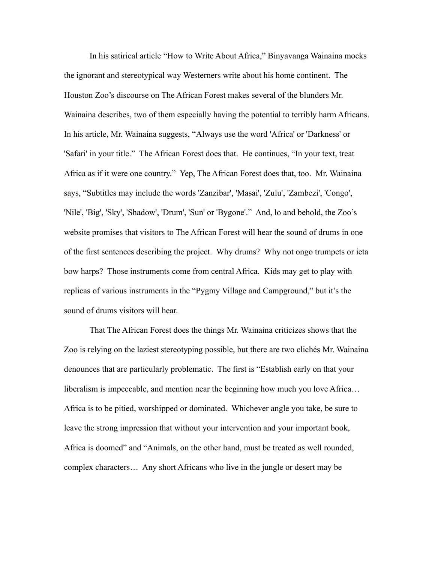In his satirical article "How to Write About Africa," Binyavanga Wainaina mocks the ignorant and stereotypical way Westerners write about his home continent. The Houston Zoo's discourse on The African Forest makes several of the blunders Mr. Wainaina describes, two of them especially having the potential to terribly harm Africans. In his article, Mr. Wainaina suggests, "Always use the word 'Africa' or 'Darkness' or 'Safari' in your title." The African Forest does that. He continues, "In your text, treat Africa as if it were one country." Yep, The African Forest does that, too. Mr. Wainaina says, "Subtitles may include the words 'Zanzibar', 'Masai', 'Zulu', 'Zambezi', 'Congo', 'Nile', 'Big', 'Sky', 'Shadow', 'Drum', 'Sun' or 'Bygone'." And, lo and behold, the Zoo's website promises that visitors to The African Forest will hear the sound of drums in one of the first sentences describing the project. Why drums? Why not ongo trumpets or ieta bow harps? Those instruments come from central Africa. Kids may get to play with replicas of various instruments in the "Pygmy Village and Campground," but it's the sound of drums visitors will hear.

That The African Forest does the things Mr. Wainaina criticizes shows that the Zoo is relying on the laziest stereotyping possible, but there are two clichés Mr. Wainaina denounces that are particularly problematic. The first is "Establish early on that your liberalism is impeccable, and mention near the beginning how much you love Africa… Africa is to be pitied, worshipped or dominated. Whichever angle you take, be sure to leave the strong impression that without your intervention and your important book, Africa is doomed" and "Animals, on the other hand, must be treated as well rounded, complex characters… Any short Africans who live in the jungle or desert may be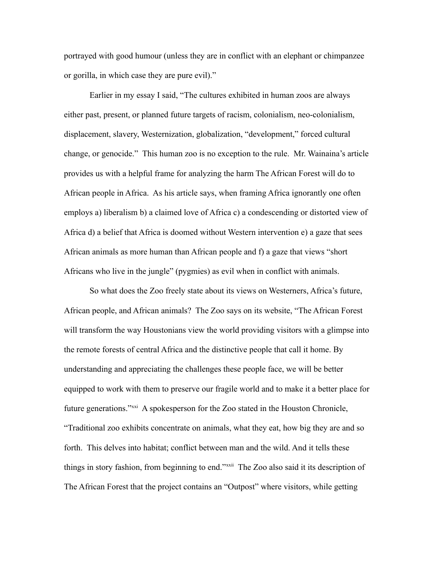portrayed with good humour (unless they are in conflict with an elephant or chimpanzee or gorilla, in which case they are pure evil)."

Earlier in my essay I said, "The cultures exhibited in human zoos are always either past, present, or planned future targets of racism, colonialism, neo-colonialism, displacement, slavery, Westernization, globalization, "development," forced cultural change, or genocide." This human zoo is no exception to the rule. Mr. Wainaina's article provides us with a helpful frame for analyzing the harm The African Forest will do to African people in Africa. As his article says, when framing Africa ignorantly one often employs a) liberalism b) a claimed love of Africa c) a condescending or distorted view of Africa d) a belief that Africa is doomed without Western intervention e) a gaze that sees African animals as more human than African people and f) a gaze that views "short Africans who live in the jungle" (pygmies) as evil when in conflict with animals.

So what does the Zoo freely state about its views on Westerners, Africa's future, African people, and African animals? The Zoo says on its website, "The African Forest will transform the way Houstonians view the world providing visitors with a glimpse into the remote forests of central Africa and the distinctive people that call it home. By understanding and appreciating the challenges these people face, we will be better equipped to work with them to preserve our fragile world and to make it a better place for future generations."[xxi](#page-38-20) A spokesperson for the Zoo stated in the Houston Chronicle, "Traditional zoo exhibits concentrate on animals, what they eat, how big they are and so forth. This delves into habitat; conflict between man and the wild. And it tells these things in story fashion, from beginning to end."[xxii](#page-38-21) The Zoo also said it its description of The African Forest that the project contains an "Outpost" where visitors, while getting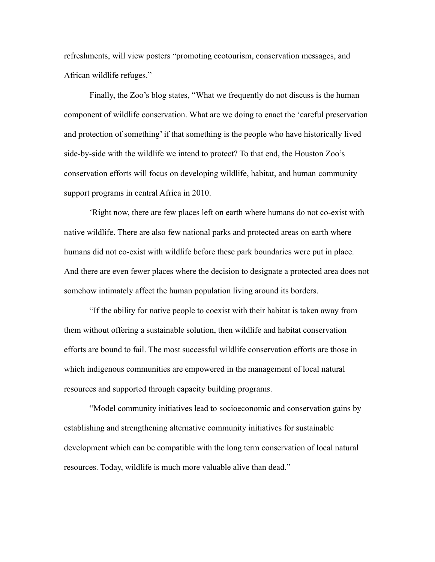refreshments, will view posters "promoting ecotourism, conservation messages, and African wildlife refuges."

Finally, the Zoo's blog states, "What we frequently do not discuss is the human component of wildlife conservation. What are we doing to enact the 'careful preservation and protection of something' if that something is the people who have historically lived side-by-side with the wildlife we intend to protect? To that end, the Houston Zoo's conservation efforts will focus on developing wildlife, habitat, and human community support programs in central Africa in 2010.

'Right now, there are few places left on earth where humans do not co-exist with native wildlife. There are also few national parks and protected areas on earth where humans did not co-exist with wildlife before these park boundaries were put in place. And there are even fewer places where the decision to designate a protected area does not somehow intimately affect the human population living around its borders.

"If the ability for native people to coexist with their habitat is taken away from them without offering a sustainable solution, then wildlife and habitat conservation efforts are bound to fail. The most successful wildlife conservation efforts are those in which indigenous communities are empowered in the management of local natural resources and supported through capacity building programs.

"Model community initiatives lead to socioeconomic and conservation gains by establishing and strengthening alternative community initiatives for sustainable development which can be compatible with the long term conservation of local natural resources. Today, wildlife is much more valuable alive than dead."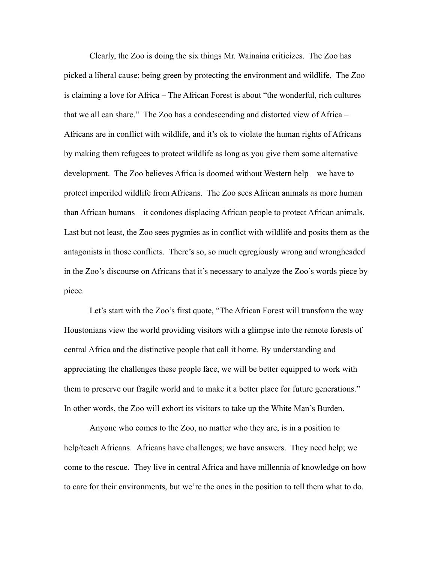Clearly, the Zoo is doing the six things Mr. Wainaina criticizes. The Zoo has picked a liberal cause: being green by protecting the environment and wildlife. The Zoo is claiming a love for Africa – The African Forest is about "the wonderful, rich cultures that we all can share." The Zoo has a condescending and distorted view of Africa – Africans are in conflict with wildlife, and it's ok to violate the human rights of Africans by making them refugees to protect wildlife as long as you give them some alternative development. The Zoo believes Africa is doomed without Western help – we have to protect imperiled wildlife from Africans. The Zoo sees African animals as more human than African humans – it condones displacing African people to protect African animals. Last but not least, the Zoo sees pygmies as in conflict with wildlife and posits them as the antagonists in those conflicts. There's so, so much egregiously wrong and wrongheaded in the Zoo's discourse on Africans that it's necessary to analyze the Zoo's words piece by piece.

Let's start with the Zoo's first quote, "The African Forest will transform the way Houstonians view the world providing visitors with a glimpse into the remote forests of central Africa and the distinctive people that call it home. By understanding and appreciating the challenges these people face, we will be better equipped to work with them to preserve our fragile world and to make it a better place for future generations." In other words, the Zoo will exhort its visitors to take up the White Man's Burden.

Anyone who comes to the Zoo, no matter who they are, is in a position to help/teach Africans. Africans have challenges; we have answers. They need help; we come to the rescue. They live in central Africa and have millennia of knowledge on how to care for their environments, but we're the ones in the position to tell them what to do.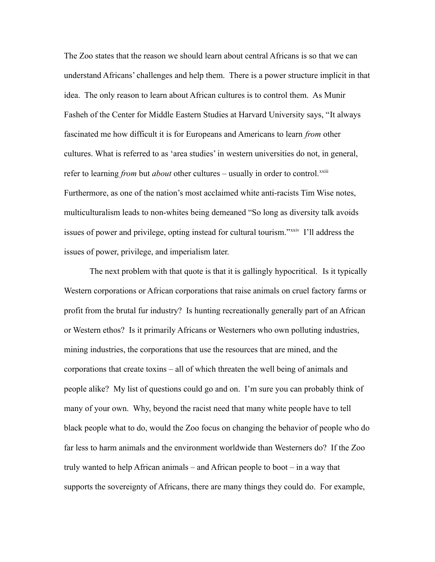The Zoo states that the reason we should learn about central Africans is so that we can understand Africans' challenges and help them. There is a power structure implicit in that idea. The only reason to learn about African cultures is to control them. As Munir Fasheh of the Center for Middle Eastern Studies at Harvard University says, "It always fascinated me how difficult it is for Europeans and Americans to learn *from* other cultures. What is referred to as 'area studies' in western universities do not, in general, refer to learning *from* but *about* other cultures – usually in order to control.<sup>[xxiii](#page-38-22)</sup> Furthermore, as one of the nation's most acclaimed white anti-racists Tim Wise notes, multiculturalism leads to non-whites being demeaned "So long as diversity talk avoids issues of power and privilege, opting instead for cultural tourism."<sup>[xxiv](#page-38-23)</sup> I'll address the issues of power, privilege, and imperialism later.

The next problem with that quote is that it is gallingly hypocritical. Is it typically Western corporations or African corporations that raise animals on cruel factory farms or profit from the brutal fur industry? Is hunting recreationally generally part of an African or Western ethos? Is it primarily Africans or Westerners who own polluting industries, mining industries, the corporations that use the resources that are mined, and the corporations that create toxins – all of which threaten the well being of animals and people alike? My list of questions could go and on. I'm sure you can probably think of many of your own. Why, beyond the racist need that many white people have to tell black people what to do, would the Zoo focus on changing the behavior of people who do far less to harm animals and the environment worldwide than Westerners do? If the Zoo truly wanted to help African animals – and African people to boot – in a way that supports the sovereignty of Africans, there are many things they could do. For example,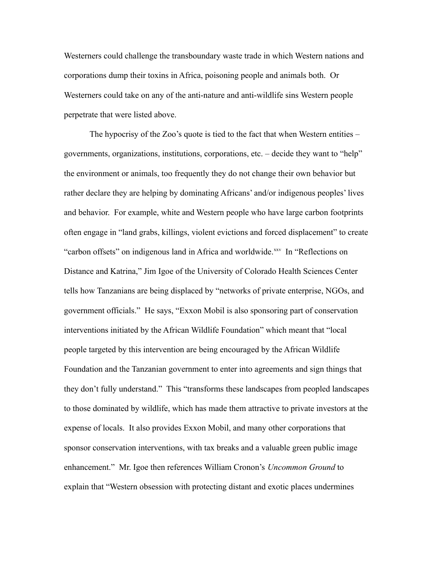Westerners could challenge the transboundary waste trade in which Western nations and corporations dump their toxins in Africa, poisoning people and animals both. Or Westerners could take on any of the anti-nature and anti-wildlife sins Western people perpetrate that were listed above.

The hypocrisy of the Zoo's quote is tied to the fact that when Western entities – governments, organizations, institutions, corporations, etc. – decide they want to "help" the environment or animals, too frequently they do not change their own behavior but rather declare they are helping by dominating Africans' and/or indigenous peoples' lives and behavior. For example, white and Western people who have large carbon footprints often engage in "land grabs, killings, violent evictions and forced displacement" to create "carbon offsets" on indigenous land in Africa and worldwide.<sup>[xxv](#page-38-24)</sup> In "Reflections on Distance and Katrina," Jim Igoe of the University of Colorado Health Sciences Center tells how Tanzanians are being displaced by "networks of private enterprise, NGOs, and government officials." He says, "Exxon Mobil is also sponsoring part of conservation interventions initiated by the African Wildlife Foundation" which meant that "local people targeted by this intervention are being encouraged by the African Wildlife Foundation and the Tanzanian government to enter into agreements and sign things that they don't fully understand." This "transforms these landscapes from peopled landscapes to those dominated by wildlife, which has made them attractive to private investors at the expense of locals. It also provides Exxon Mobil, and many other corporations that sponsor conservation interventions, with tax breaks and a valuable green public image enhancement." Mr. Igoe then references William Cronon's *Uncommon Ground* to explain that "Western obsession with protecting distant and exotic places undermines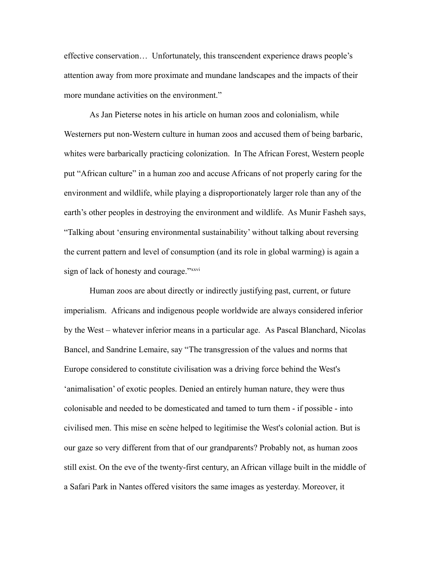effective conservation… Unfortunately, this transcendent experience draws people's attention away from more proximate and mundane landscapes and the impacts of their more mundane activities on the environment."

As Jan Pieterse notes in his article on human zoos and colonialism, while Westerners put non-Western culture in human zoos and accused them of being barbaric, whites were barbarically practicing colonization. In The African Forest, Western people put "African culture" in a human zoo and accuse Africans of not properly caring for the environment and wildlife, while playing a disproportionately larger role than any of the earth's other peoples in destroying the environment and wildlife. As Munir Fasheh says, "Talking about 'ensuring environmental sustainability' without talking about reversing the current pattern and level of consumption (and its role in global warming) is again a sign of lack of honesty and courage."*[xxvi](#page-38-25)* 

Human zoos are about directly or indirectly justifying past, current, or future imperialism. Africans and indigenous people worldwide are always considered inferior by the West – whatever inferior means in a particular age. As Pascal Blanchard, Nicolas Bancel, and Sandrine Lemaire, say "The transgression of the values and norms that Europe considered to constitute civilisation was a driving force behind the West's 'animalisation' of exotic peoples. Denied an entirely human nature, they were thus colonisable and needed to be domesticated and tamed to turn them - if possible - into civilised men. This mise en scène helped to legitimise the West's colonial action. But is our gaze so very different from that of our grandparents? Probably not, as human zoos still exist. On the eve of the twenty-first century, an African village built in the middle of a Safari Park in Nantes offered visitors the same images as yesterday. Moreover, it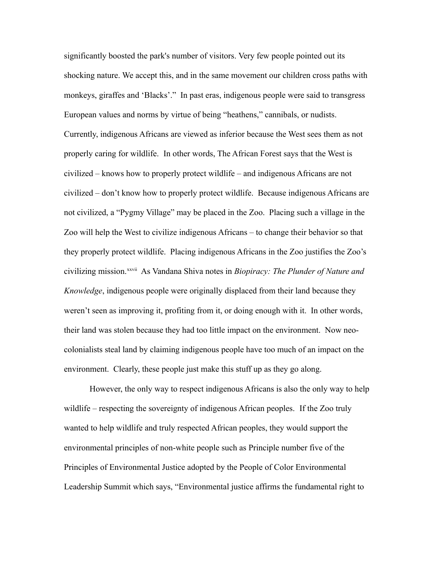significantly boosted the park's number of visitors. Very few people pointed out its shocking nature. We accept this, and in the same movement our children cross paths with monkeys, giraffes and 'Blacks'." In past eras, indigenous people were said to transgress European values and norms by virtue of being "heathens," cannibals, or nudists. Currently, indigenous Africans are viewed as inferior because the West sees them as not properly caring for wildlife. In other words, The African Forest says that the West is civilized – knows how to properly protect wildlife – and indigenous Africans are not civilized – don't know how to properly protect wildlife. Because indigenous Africans are not civilized, a "Pygmy Village" may be placed in the Zoo. Placing such a village in the Zoo will help the West to civilize indigenous Africans – to change their behavior so that they properly protect wildlife. Placing indigenous Africans in the Zoo justifies the Zoo's civilizing mission.[xxvii](#page-38-26) As Vandana Shiva notes in *Biopiracy: The Plunder of Nature and Knowledge*, indigenous people were originally displaced from their land because they weren't seen as improving it, profiting from it, or doing enough with it. In other words, their land was stolen because they had too little impact on the environment. Now neocolonialists steal land by claiming indigenous people have too much of an impact on the environment. Clearly, these people just make this stuff up as they go along.

However, the only way to respect indigenous Africans is also the only way to help wildlife – respecting the sovereignty of indigenous African peoples. If the Zoo truly wanted to help wildlife and truly respected African peoples, they would support the environmental principles of non-white people such as Principle number five of the Principles of Environmental Justice adopted by the People of Color Environmental Leadership Summit which says, "Environmental justice affirms the fundamental right to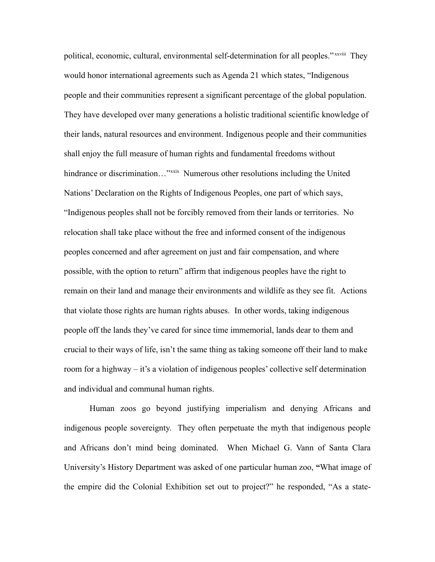political, economic, cultural, environmental self-determination for all peoples." *x[xxviii](#page-38-27)* They would honor international agreements such as Agenda 21 which states, "Indigenous people and their communities represent a significant percentage of the global population. They have developed over many generations a holistic traditional scientific knowledge of their lands, natural resources and environment. Indigenous people and their communities shall enjoy the full measure of human rights and fundamental freedoms without hindrance or discrimination…"<sup>[xxix](#page-38-28)</sup> Numerous other resolutions including the United Nations' Declaration on the Rights of Indigenous Peoples, one part of which says, "Indigenous peoples shall not be forcibly removed from their lands or territories. No relocation shall take place without the free and informed consent of the indigenous peoples concerned and after agreement on just and fair compensation, and where possible, with the option to return" affirm that indigenous peoples have the right to remain on their land and manage their environments and wildlife as they see fit. Actions that violate those rights are human rights abuses. In other words, taking indigenous people off the lands they've cared for since time immemorial, lands dear to them and crucial to their ways of life, isn't the same thing as taking someone off their land to make room for a highway – it's a violation of indigenous peoples' collective self determination and individual and communal human rights.

Human zoos go beyond justifying imperialism and denying Africans and indigenous people sovereignty. They often perpetuate the myth that indigenous people and Africans don't mind being dominated. When Michael G. Vann of Santa Clara University's History Department was asked of one particular human zoo, **"**What image of the empire did the Colonial Exhibition set out to project?" he responded, "As a state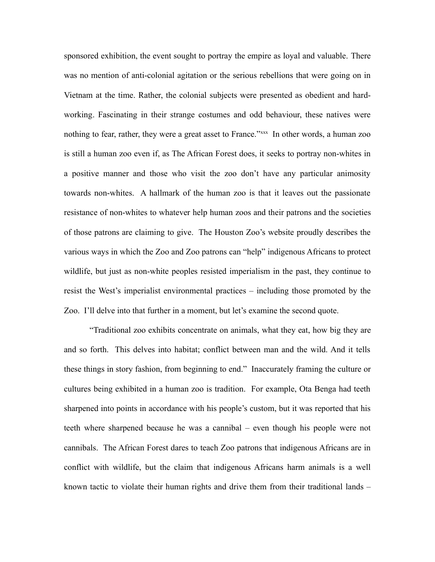sponsored exhibition, the event sought to portray the empire as loyal and valuable. There was no mention of anti-colonial agitation or the serious rebellions that were going on in Vietnam at the time. Rather, the colonial subjects were presented as obedient and hardworking. Fascinating in their strange costumes and odd behaviour, these natives were nothing to fear, rather, they were a great asset to France."<sup>[xxx](#page-38-29)x</sup> In other words, a human zoo is still a human zoo even if, as The African Forest does, it seeks to portray non-whites in a positive manner and those who visit the zoo don't have any particular animosity towards non-whites. A hallmark of the human zoo is that it leaves out the passionate resistance of non-whites to whatever help human zoos and their patrons and the societies of those patrons are claiming to give. The Houston Zoo's website proudly describes the various ways in which the Zoo and Zoo patrons can "help" indigenous Africans to protect wildlife, but just as non-white peoples resisted imperialism in the past, they continue to resist the West's imperialist environmental practices – including those promoted by the Zoo. I'll delve into that further in a moment, but let's examine the second quote.

"Traditional zoo exhibits concentrate on animals, what they eat, how big they are and so forth. This delves into habitat; conflict between man and the wild. And it tells these things in story fashion, from beginning to end." Inaccurately framing the culture or cultures being exhibited in a human zoo is tradition. For example, Ota Benga had teeth sharpened into points in accordance with his people's custom, but it was reported that his teeth where sharpened because he was a cannibal – even though his people were not cannibals. The African Forest dares to teach Zoo patrons that indigenous Africans are in conflict with wildlife, but the claim that indigenous Africans harm animals is a well known tactic to violate their human rights and drive them from their traditional lands –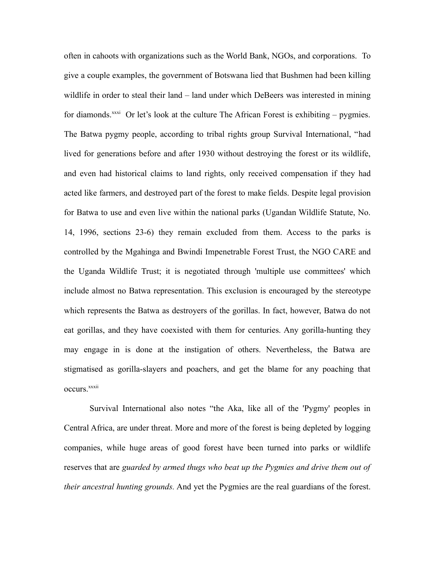often in cahoots with organizations such as the World Bank, NGOs, and corporations. To give a couple examples, the government of Botswana lied that Bushmen had been killing wildlife in order to steal their land – land under which DeBeers was interested in mining for diamonds.<sup>[xxxi](#page-38-30)</sup> Or let's look at the culture The African Forest is exhibiting – pygmies. The Batwa pygmy people, according to tribal rights group Survival International, "had lived for generations before and after 1930 without destroying the forest or its wildlife, and even had historical claims to land rights, only received compensation if they had acted like farmers, and destroyed part of the forest to make fields. Despite legal provision for Batwa to use and even live within the national parks (Ugandan Wildlife Statute, No. 14, 1996, sections 23-6) they remain excluded from them. Access to the parks is controlled by the Mgahinga and Bwindi Impenetrable Forest Trust, the NGO CARE and the Uganda Wildlife Trust; it is negotiated through 'multiple use committees' which include almost no Batwa representation. This exclusion is encouraged by the stereotype which represents the Batwa as destroyers of the gorillas. In fact, however, Batwa do not eat gorillas, and they have coexisted with them for centuries. Any gorilla-hunting they may engage in is done at the instigation of others. Nevertheless, the Batwa are stigmatised as gorilla-slayers and poachers, and get the blame for any poaching that occurs.<sup>[xxxii](#page-38-31)</sup>

Survival International also notes "the Aka, like all of the 'Pygmy' peoples in Central Africa, are under threat. More and more of the forest is being depleted by logging companies, while huge areas of good forest have been turned into parks or wildlife reserves that are *guarded by armed thugs who beat up the Pygmies and drive them out of their ancestral hunting grounds.* And yet the Pygmies are the real guardians of the forest.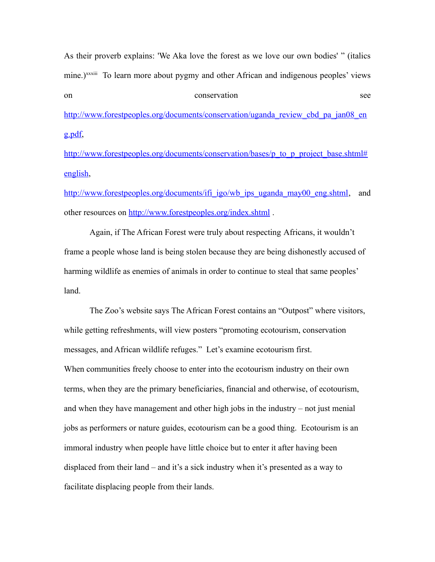As their proverb explains: 'We Aka love the forest as we love our own bodies' " (italics mine.)<sup>[xxxiii](#page-38-32)</sup> To learn more about pygmy and other African and indigenous peoples' views on conservation see [http://www.forestpeoples.org/documents/conservation/uganda\\_review\\_cbd\\_pa\\_jan08\\_en](http://www.forestpeoples.org/documents/conservation/uganda_review_cbd_pa_jan08_eng.pdf)

[g.pdf,](http://www.forestpeoples.org/documents/conservation/uganda_review_cbd_pa_jan08_eng.pdf)

[http://www.forestpeoples.org/documents/conservation/bases/p\\_to\\_p\\_project\\_base.shtml#](http://www.forestpeoples.org/documents/conservation/bases/p_to_p_project_base.shtml#english) [english,](http://www.forestpeoples.org/documents/conservation/bases/p_to_p_project_base.shtml#english)

[http://www.forestpeoples.org/documents/ifi\\_igo/wb\\_ips\\_uganda\\_may00\\_eng.shtml,](http://www.forestpeoples.org/documents/ifi_igo/wb_ips_uganda_may00_eng.shtml) and other resources on<http://www.forestpeoples.org/index.shtml>.

Again, if The African Forest were truly about respecting Africans, it wouldn't frame a people whose land is being stolen because they are being dishonestly accused of harming wildlife as enemies of animals in order to continue to steal that same peoples' land.

The Zoo's website says The African Forest contains an "Outpost" where visitors, while getting refreshments, will view posters "promoting ecotourism, conservation messages, and African wildlife refuges." Let's examine ecotourism first. When communities freely choose to enter into the ecotourism industry on their own terms, when they are the primary beneficiaries, financial and otherwise, of ecotourism, and when they have management and other high jobs in the industry – not just menial jobs as performers or nature guides, ecotourism can be a good thing. Ecotourism is an immoral industry when people have little choice but to enter it after having been displaced from their land – and it's a sick industry when it's presented as a way to facilitate displacing people from their lands.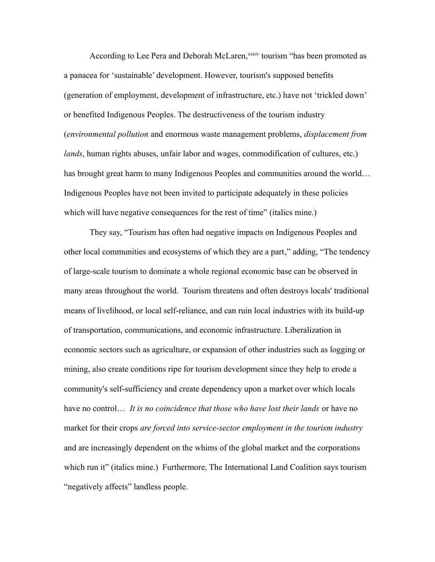According to Lee Pera and Deborah McLaren,<sup>[xxxiv](#page-38-33)</sup> tourism "has been promoted as a panacea for 'sustainable' development. However, tourism's supposed benefits (generation of employment, development of infrastructure, etc.) have not 'trickled down' or benefited Indigenous Peoples. The destructiveness of the tourism industry (*environmental pollution* and enormous waste management problems, *displacement from lands*, human rights abuses, unfair labor and wages, commodification of cultures, etc.) has brought great harm to many Indigenous Peoples and communities around the world… Indigenous Peoples have not been invited to participate adequately in these policies which will have negative consequences for the rest of time" (italics mine.)

They say, "Tourism has often had negative impacts on Indigenous Peoples and other local communities and ecosystems of which they are a part," adding, "The tendency of large-scale tourism to dominate a whole regional economic base can be observed in many areas throughout the world. Tourism threatens and often destroys locals' traditional means of livelihood, or local self-reliance, and can ruin local industries with its build-up of transportation, communications, and economic infrastructure. Liberalization in economic sectors such as agriculture, or expansion of other industries such as logging or mining, also create conditions ripe for tourism development since they help to erode a community's self-sufficiency and create dependency upon a market over which locals have no control… *It is no coincidence that those who have lost their lands* or have no market for their crops *are forced into service-sector employment in the tourism industry* and are increasingly dependent on the whims of the global market and the corporations which run it" (italics mine.) Furthermore, The International Land Coalition says tourism "negatively affects" landless people.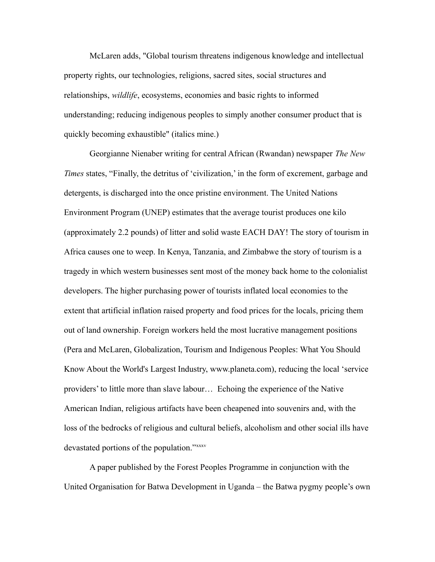McLaren adds, "Global tourism threatens indigenous knowledge and intellectual property rights, our technologies, religions, sacred sites, social structures and relationships, *wildlife*, ecosystems, economies and basic rights to informed understanding; reducing indigenous peoples to simply another consumer product that is quickly becoming exhaustible" (italics mine.)

Georgianne Nienaber writing for central African (Rwandan) newspaper *The New Times* states, "Finally, the detritus of 'civilization,' in the form of excrement, garbage and detergents, is discharged into the once pristine environment. The United Nations Environment Program (UNEP) estimates that the average tourist produces one kilo (approximately 2.2 pounds) of litter and solid waste EACH DAY! The story of tourism in Africa causes one to weep. In Kenya, Tanzania, and Zimbabwe the story of tourism is a tragedy in which western businesses sent most of the money back home to the colonialist developers. The higher purchasing power of tourists inflated local economies to the extent that artificial inflation raised property and food prices for the locals, pricing them out of land ownership. Foreign workers held the most lucrative management positions (Pera and McLaren, Globalization, Tourism and Indigenous Peoples: What You Should Know About the World's Largest Industry, www.planeta.com), reducing the local 'service providers' to little more than slave labour… Echoing the experience of the Native American Indian, religious artifacts have been cheapened into souvenirs and, with the loss of the bedrocks of religious and cultural beliefs, alcoholism and other social ills have devastated portions of the population."*[xxxv](#page-38-34)* 

A paper published by the Forest Peoples Programme in conjunction with the United Organisation for Batwa Development in Uganda – the Batwa pygmy people's own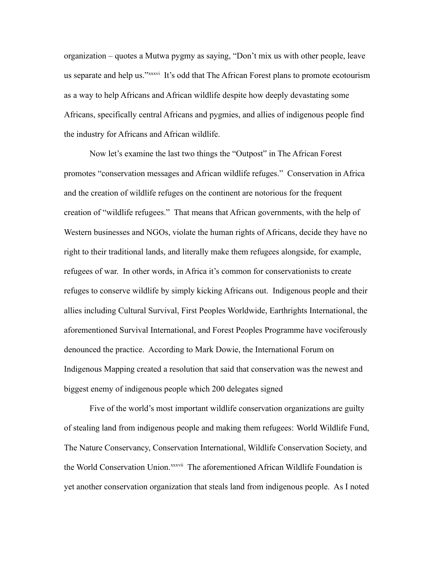organization – quotes a Mutwa pygmy as saying, "Don't mix us with other people, leave us separate and help us."[xxxvi](#page-38-35) It's odd that The African Forest plans to promote ecotourism as a way to help Africans and African wildlife despite how deeply devastating some Africans, specifically central Africans and pygmies, and allies of indigenous people find the industry for Africans and African wildlife.

Now let's examine the last two things the "Outpost" in The African Forest promotes "conservation messages and African wildlife refuges." Conservation in Africa and the creation of wildlife refuges on the continent are notorious for the frequent creation of "wildlife refugees." That means that African governments, with the help of Western businesses and NGOs, violate the human rights of Africans, decide they have no right to their traditional lands, and literally make them refugees alongside, for example, refugees of war. In other words, in Africa it's common for conservationists to create refuges to conserve wildlife by simply kicking Africans out. Indigenous people and their allies including Cultural Survival, First Peoples Worldwide, Earthrights International, the aforementioned Survival International, and Forest Peoples Programme have vociferously denounced the practice. According to Mark Dowie, the International Forum on Indigenous Mapping created a resolution that said that conservation was the newest and biggest enemy of indigenous people which 200 delegates signed

Five of the world's most important wildlife conservation organizations are guilty of stealing land from indigenous people and making them refugees: World Wildlife Fund, The Nature Conservancy, Conservation International, Wildlife Conservation Society, and the World Conservation Union.<sup>[xxxvii](#page-38-36)</sup> The aforementioned African Wildlife Foundation is yet another conservation organization that steals land from indigenous people. As I noted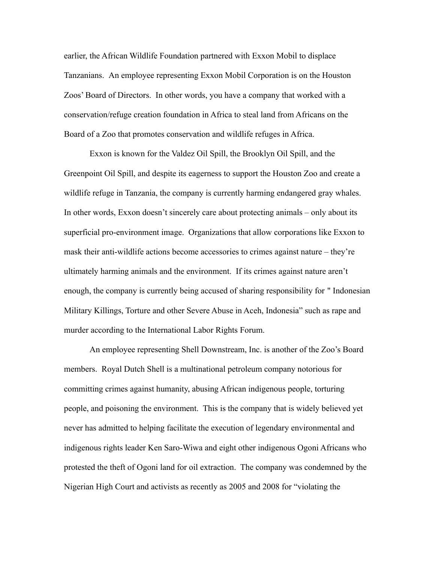earlier, the African Wildlife Foundation partnered with Exxon Mobil to displace Tanzanians. An employee representing Exxon Mobil Corporation is on the Houston Zoos' Board of Directors. In other words, you have a company that worked with a conservation/refuge creation foundation in Africa to steal land from Africans on the Board of a Zoo that promotes conservation and wildlife refuges in Africa.

Exxon is known for the Valdez Oil Spill, the Brooklyn Oil Spill, and the Greenpoint Oil Spill, and despite its eagerness to support the Houston Zoo and create a wildlife refuge in Tanzania, the company is currently harming endangered gray whales. In other words, Exxon doesn't sincerely care about protecting animals – only about its superficial pro-environment image. Organizations that allow corporations like Exxon to mask their anti-wildlife actions become accessories to crimes against nature – they're ultimately harming animals and the environment. If its crimes against nature aren't enough, the company is currently being accused of sharing responsibility for " Indonesian Military Killings, Torture and other Severe Abuse in Aceh, Indonesia" such as rape and murder according to the International Labor Rights Forum.

An employee representing Shell Downstream, Inc. is another of the Zoo's Board members. Royal Dutch Shell is a multinational petroleum company notorious for committing crimes against humanity, abusing African indigenous people, torturing people, and poisoning the environment. This is the company that is widely believed yet never has admitted to helping facilitate the execution of legendary environmental and indigenous rights leader Ken Saro-Wiwa and eight other indigenous Ogoni Africans who protested the theft of Ogoni land for oil extraction. The company was condemned by the Nigerian High Court and activists as recently as 2005 and 2008 for "violating the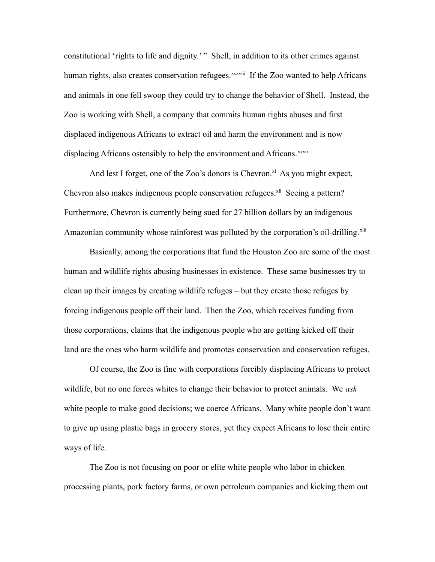constitutional 'rights to life and dignity.' "Shell, in addition to its other crimes against human rights, also creates conservation refugees.<sup>[xxxviii](#page-38-37)</sup> If the Zoo wanted to help Africans and animals in one fell swoop they could try to change the behavior of Shell. Instead, the Zoo is working with Shell, a company that commits human rights abuses and first displaced indigenous Africans to extract oil and harm the environment and is now displacing Africans ostensibly to help the environment and Africans.<sup>[xxxix](#page-38-38)</sup>

And lest I forget, one of the Zoo's donors is Chevron.<sup>[xl](#page-38-39)</sup> As you might expect, Chevron also makes indigenous people conservation refugees. $x<sup>li</sup>$  Seeing a pattern? Furthermore, Chevron is currently being sued for 27 billion dollars by an indigenous Amazonian community whose rainforest was polluted by the corporation's oil-drilling.<sup>[xlii](#page-39-0)</sup>

Basically, among the corporations that fund the Houston Zoo are some of the most human and wildlife rights abusing businesses in existence. These same businesses try to clean up their images by creating wildlife refuges – but they create those refuges by forcing indigenous people off their land. Then the Zoo, which receives funding from those corporations, claims that the indigenous people who are getting kicked off their land are the ones who harm wildlife and promotes conservation and conservation refuges.

Of course, the Zoo is fine with corporations forcibly displacing Africans to protect wildlife, but no one forces whites to change their behavior to protect animals. We *ask* white people to make good decisions; we coerce Africans. Many white people don't want to give up using plastic bags in grocery stores, yet they expect Africans to lose their entire ways of life.

The Zoo is not focusing on poor or elite white people who labor in chicken processing plants, pork factory farms, or own petroleum companies and kicking them out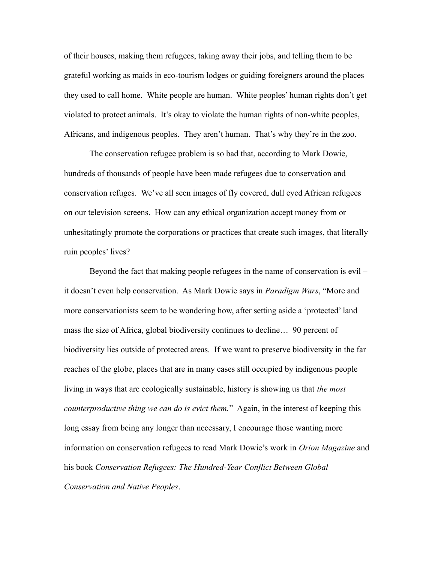of their houses, making them refugees, taking away their jobs, and telling them to be grateful working as maids in eco-tourism lodges or guiding foreigners around the places they used to call home. White people are human. White peoples' human rights don't get violated to protect animals. It's okay to violate the human rights of non-white peoples, Africans, and indigenous peoples. They aren't human. That's why they're in the zoo.

The conservation refugee problem is so bad that, according to Mark Dowie, hundreds of thousands of people have been made refugees due to conservation and conservation refuges. We've all seen images of fly covered, dull eyed African refugees on our television screens. How can any ethical organization accept money from or unhesitatingly promote the corporations or practices that create such images, that literally ruin peoples' lives?

Beyond the fact that making people refugees in the name of conservation is evil – it doesn't even help conservation. As Mark Dowie says in *Paradigm Wars*, "More and more conservationists seem to be wondering how, after setting aside a 'protected' land mass the size of Africa, global biodiversity continues to decline… 90 percent of biodiversity lies outside of protected areas. If we want to preserve biodiversity in the far reaches of the globe, places that are in many cases still occupied by indigenous people living in ways that are ecologically sustainable, history is showing us that *the most counterproductive thing we can do is evict them.*" Again, in the interest of keeping this long essay from being any longer than necessary, I encourage those wanting more information on conservation refugees to read Mark Dowie's work in *Orion Magazine* and his book *Conservation Refugees: The Hundred-Year Conflict Between Global Conservation and Native Peoples*.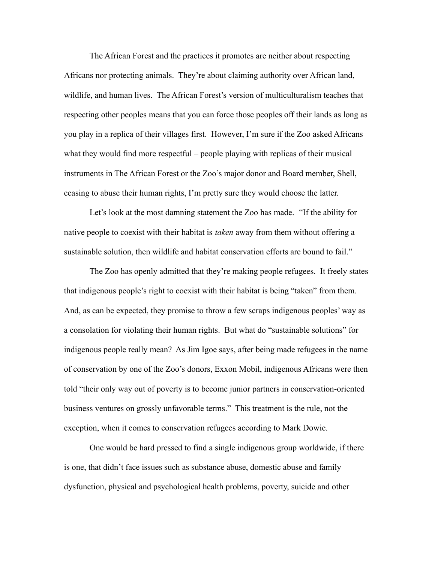The African Forest and the practices it promotes are neither about respecting Africans nor protecting animals. They're about claiming authority over African land, wildlife, and human lives. The African Forest's version of multiculturalism teaches that respecting other peoples means that you can force those peoples off their lands as long as you play in a replica of their villages first. However, I'm sure if the Zoo asked Africans what they would find more respectful – people playing with replicas of their musical instruments in The African Forest or the Zoo's major donor and Board member, Shell, ceasing to abuse their human rights, I'm pretty sure they would choose the latter.

Let's look at the most damning statement the Zoo has made. "If the ability for native people to coexist with their habitat is *taken* away from them without offering a sustainable solution, then wildlife and habitat conservation efforts are bound to fail."

The Zoo has openly admitted that they're making people refugees. It freely states that indigenous people's right to coexist with their habitat is being "taken" from them. And, as can be expected, they promise to throw a few scraps indigenous peoples' way as a consolation for violating their human rights. But what do "sustainable solutions" for indigenous people really mean? As Jim Igoe says, after being made refugees in the name of conservation by one of the Zoo's donors, Exxon Mobil, indigenous Africans were then told "their only way out of poverty is to become junior partners in conservation-oriented business ventures on grossly unfavorable terms." This treatment is the rule, not the exception, when it comes to conservation refugees according to Mark Dowie.

One would be hard pressed to find a single indigenous group worldwide, if there is one, that didn't face issues such as substance abuse, domestic abuse and family dysfunction, physical and psychological health problems, poverty, suicide and other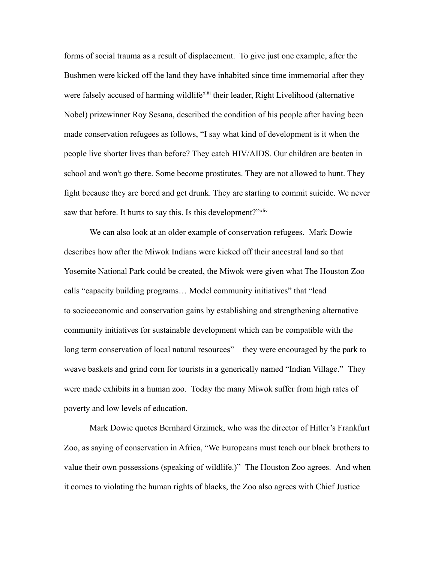forms of social trauma as a result of displacement. To give just one example, after the Bushmen were kicked off the land they have inhabited since time immemorial after they were falsely accused of harming wildlife<sup>[xliii](#page-39-1)</sup> their leader, Right Livelihood (alternative Nobel) prizewinner Roy Sesana, described the condition of his people after having been made conservation refugees as follows, "I say what kind of development is it when the people live shorter lives than before? They catch HIV/AIDS. Our children are beaten in school and won't go there. Some become prostitutes. They are not allowed to hunt. They fight because they are bored and get drunk. They are starting to commit suicide. We never saw that before. It hurts to say this. Is this development?"<sup>[xliv](#page-39-2)</sup>

We can also look at an older example of conservation refugees. Mark Dowie describes how after the Miwok Indians were kicked off their ancestral land so that Yosemite National Park could be created, the Miwok were given what The Houston Zoo calls "capacity building programs… Model community initiatives" that "lead to socioeconomic and conservation gains by establishing and strengthening alternative community initiatives for sustainable development which can be compatible with the long term conservation of local natural resources" – they were encouraged by the park to weave baskets and grind corn for tourists in a generically named "Indian Village." They were made exhibits in a human zoo. Today the many Miwok suffer from high rates of poverty and low levels of education.

Mark Dowie quotes Bernhard Grzimek, who was the director of Hitler's Frankfurt Zoo, as saying of conservation in Africa, "We Europeans must teach our black brothers to value their own possessions (speaking of wildlife.)" The Houston Zoo agrees. And when it comes to violating the human rights of blacks, the Zoo also agrees with Chief Justice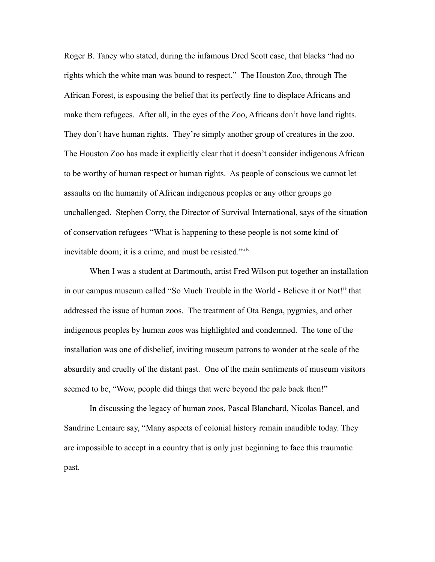Roger B. Taney who stated, during the infamous Dred Scott case, that blacks "had no rights which the white man was bound to respect." The Houston Zoo, through The African Forest, is espousing the belief that its perfectly fine to displace Africans and make them refugees. After all, in the eyes of the Zoo, Africans don't have land rights. They don't have human rights. They're simply another group of creatures in the zoo. The Houston Zoo has made it explicitly clear that it doesn't consider indigenous African to be worthy of human respect or human rights. As people of conscious we cannot let assaults on the humanity of African indigenous peoples or any other groups go unchallenged. Stephen Corry, the Director of Survival International, says of the situation of conservation refugees "What is happening to these people is not some kind of inevitable doom; it is a crime, and must be resisted."<sup>[xlv](#page-39-3)</sup>

When I was a student at Dartmouth, artist Fred Wilson put together an installation in our campus museum called "So Much Trouble in the World - Believe it or Not!" that addressed the issue of human zoos. The treatment of Ota Benga, pygmies, and other indigenous peoples by human zoos was highlighted and condemned. The tone of the installation was one of disbelief, inviting museum patrons to wonder at the scale of the absurdity and cruelty of the distant past. One of the main sentiments of museum visitors seemed to be, "Wow, people did things that were beyond the pale back then!"

In discussing the legacy of human zoos, Pascal Blanchard, Nicolas Bancel, and Sandrine Lemaire say, "Many aspects of colonial history remain inaudible today. They are impossible to accept in a country that is only just beginning to face this traumatic past.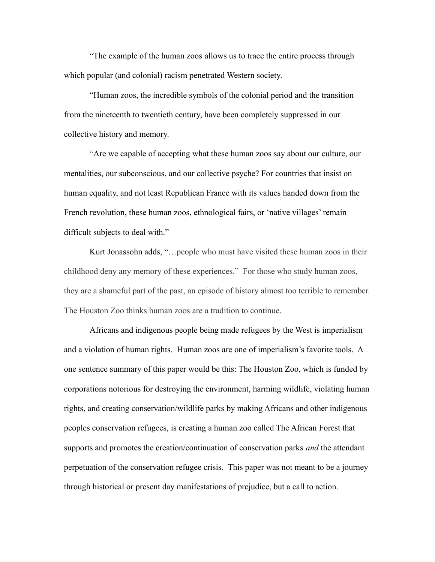"The example of the human zoos allows us to trace the entire process through which popular (and colonial) racism penetrated Western society.

"Human zoos, the incredible symbols of the colonial period and the transition from the nineteenth to twentieth century, have been completely suppressed in our collective history and memory.

"Are we capable of accepting what these human zoos say about our culture, our mentalities, our subconscious, and our collective psyche? For countries that insist on human equality, and not least Republican France with its values handed down from the French revolution, these human zoos, ethnological fairs, or 'native villages' remain difficult subjects to deal with."

Kurt Jonassohn adds, "…people who must have visited these human zoos in their childhood deny any memory of these experiences." For those who study human zoos, they are a shameful part of the past, an episode of history almost too terrible to remember. The Houston Zoo thinks human zoos are a tradition to continue.

Africans and indigenous people being made refugees by the West is imperialism and a violation of human rights. Human zoos are one of imperialism's favorite tools. A one sentence summary of this paper would be this: The Houston Zoo, which is funded by corporations notorious for destroying the environment, harming wildlife, violating human rights, and creating conservation/wildlife parks by making Africans and other indigenous peoples conservation refugees, is creating a human zoo called The African Forest that supports and promotes the creation/continuation of conservation parks *and* the attendant perpetuation of the conservation refugee crisis. This paper was not meant to be a journey through historical or present day manifestations of prejudice, but a call to action.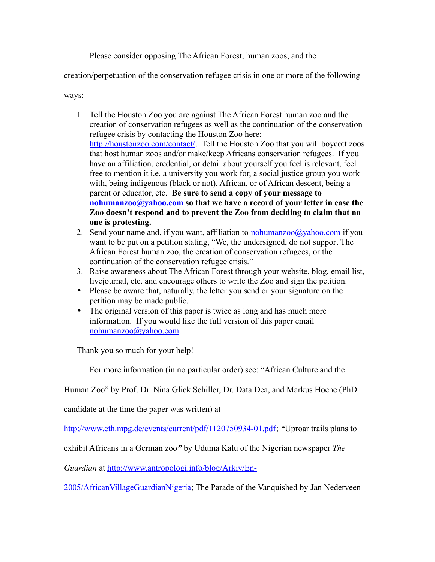Please consider opposing The African Forest, human zoos, and the

creation/perpetuation of the conservation refugee crisis in one or more of the following

ways:

- 1. Tell the Houston Zoo you are against The African Forest human zoo and the creation of conservation refugees as well as the continuation of the conservation refugee crisis by contacting the Houston Zoo here: [http://houstonzoo.com/contact/.](http://houstonzoo.com/contact/) Tell the Houston Zoo that you will boycott zoos that host human zoos and/or make/keep Africans conservation refugees. If you have an affiliation, credential, or detail about yourself you feel is relevant, feel free to mention it i.e. a university you work for, a social justice group you work with, being indigenous (black or not), African, or of African descent, being a parent or educator, etc. **Be sure to send a copy of your message to [nohumanzoo@yahoo.com](mailto:nohumanzoo@yahoo.com) so that we have a record of your letter in case the Zoo doesn't respond and to prevent the Zoo from deciding to claim that no one is protesting.**
- 2. Send your name and, if you want, affiliation to [nohumanzoo@yahoo.com](mailto:nohumanzoo@yahoo.com) if you want to be put on a petition stating, "We, the undersigned, do not support The African Forest human zoo, the creation of conservation refugees, or the continuation of the conservation refugee crisis."
- 3. Raise awareness about The African Forest through your website, blog, email list, livejournal, etc. and encourage others to write the Zoo and sign the petition.
- Please be aware that, naturally, the letter you send or your signature on the petition may be made public.
- The original version of this paper is twice as long and has much more information. If you would like the full version of this paper email [nohumanzoo@yahoo.com.](mailto:nohumanzoo@yahoo.com)

Thank you so much for your help!

For more information (in no particular order) see: "African Culture and the

Human Zoo" by Prof. Dr. Nina Glick Schiller, Dr. Data Dea, and Markus Hoene (PhD

candidate at the time the paper was written) at

[http://www.eth.mpg.de/events/current/pdf/1120750934-01.pdf;](http://www.eth.mpg.de/events/current/pdf/1120750934-01.pdf) *"*Uproar trails plans to

exhibit Africans in a German zoo*"* by Uduma Kalu of the Nigerian newspaper *The*

*Guardian* at [http://www.antropologi.info/blog/Arkiv/En-](http://www.antropologi.info/blog/Arkiv/En-2005/AfricanVillageGuardianNigeria)

[2005/AfricanVillageGuardianNigeria;](http://www.antropologi.info/blog/Arkiv/En-2005/AfricanVillageGuardianNigeria) The Parade of the Vanquished by Jan Nederveen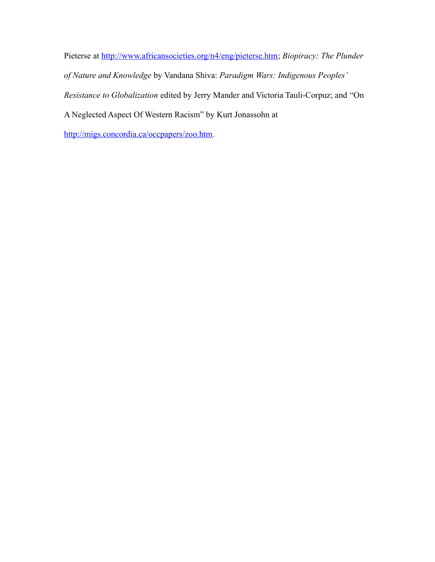Pieterse at [http://www.africansocieties.org/n4/eng/pieterse.htm;](http://www.africansocieties.org/n4/eng/pieterse.htm) *Biopiracy: The Plunder of Nature and Knowledge* by Vandana Shiva: *Paradigm Wars: Indigenous Peoples' Resistance to Globalization* edited by Jerry Mander and Victoria Tauli-Corpuz; and "On A Neglected Aspect Of Western Racism" by Kurt Jonassohn at

[http://migs.concordia.ca/occpapers/zoo.htm.](http://migs.concordia.ca/occpapers/zoo.htm)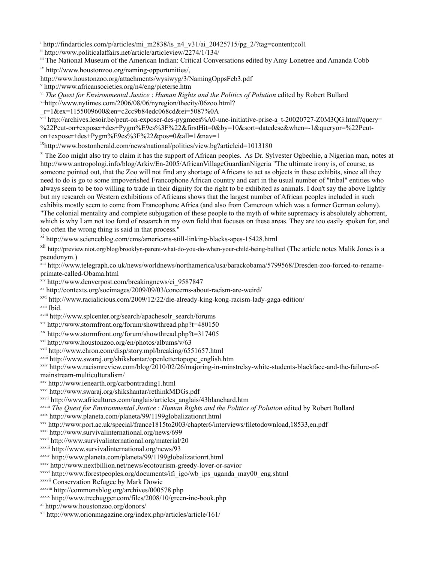<span id="page-38-0"></span><sup>i</sup>http://findarticles.com/p/articles/mi\_m2838/is\_n4\_v31/ai\_20425715/pg\_2/?tag=content;col1

<span id="page-38-1"></span> $\frac{1}{2}$  http://www.politicalaffairs.net/article/articleview/2274/1/134/

<span id="page-38-3"></span><span id="page-38-2"></span>iii The National Museum of the American Indian: Critical Conversations edited by Amy Lonetree and Amanda Cobb iv [http://www.houstonzoo.org/naming-opportunities/,](http://www.houstonzoo.org/naming-opportunities/)

http://www.houstonzoo.org/attachments/wysiwyg/3/NamingOppsFeb3.pdf

<span id="page-38-4"></span><sup>v</sup> <http://www.africansocieties.org/n4/eng/pieterse.htm>

<span id="page-38-5"></span>vi *The Quest for Environmental Justice* : *Human Rights and the Politics of Polution* edited by Robert Bullard vii[http://www.nytimes.com/2006/08/06/nyregion/thecity/06zoo.html?](http://www.nytimes.com/2006/08/06/nyregion/thecity/06zoo.html?_r=1&ex=1155009600&en=c2cc9b84edc068cd&ei=5087%0A)

<span id="page-38-6"></span>

[\\_r=1&ex=1155009600&en=c2cc9b84edc068cd&ei=5087%0A](http://www.nytimes.com/2006/08/06/nyregion/thecity/06zoo.html?_r=1&ex=1155009600&en=c2cc9b84edc068cd&ei=5087%0A)

<span id="page-38-7"></span> $\overline{v}$ iii [http://archives.lesoir.be/peut-on-exposer-des-pygmees%A0-une-initiative-prise-a\\_t-20020727-Z0M3QG.html?query=](http://archives.lesoir.be/peut-on-exposer-des-pygmees%A0-une-initiative-prise-a_t-20020727-Z0M3QG.html?query=%22Peut-on+exposer+des+Pygm%E9es%3F%22&firstHit=0&by=10&sort=datedesc&when=-1&queryor=%22Peut-on+exposer+des+Pygm%E9es%3F%22&pos=0&all=1&nav=1) [%22Peut-on+exposer+des+Pygm%E9es%3F%22&firstHit=0&by=10&sort=datedesc&when=-1&queryor=%22Peut](http://archives.lesoir.be/peut-on-exposer-des-pygmees%A0-une-initiative-prise-a_t-20020727-Z0M3QG.html?query=%22Peut-on+exposer+des+Pygm%E9es%3F%22&firstHit=0&by=10&sort=datedesc&when=-1&queryor=%22Peut-on+exposer+des+Pygm%E9es%3F%22&pos=0&all=1&nav=1)[on+exposer+des+Pygm%E9es%3F%22&pos=0&all=1&nav=1](http://archives.lesoir.be/peut-on-exposer-des-pygmees%A0-une-initiative-prise-a_t-20020727-Z0M3QG.html?query=%22Peut-on+exposer+des+Pygm%E9es%3F%22&firstHit=0&by=10&sort=datedesc&when=-1&queryor=%22Peut-on+exposer+des+Pygm%E9es%3F%22&pos=0&all=1&nav=1)

<span id="page-38-8"></span>ix<http://www.bostonherald.com/news/national/politics/view.bg?articleid=1013180>

<span id="page-38-9"></span><sup>x</sup> The Zoo might also try to claim it has the support of African peoples. As Dr. Sylvester Ogbechie, a Nigerian man, notes at <http://www.antropologi.info/blog/Arkiv/En-2005/AfricanVillageGuardianNigeria> "The ultimate irony is, of course, as someone pointed out, that the Zoo will not find any shortage of Africans to act as objects in these exhibits, since all they need to do is go to some impoverished Francophone African country and cart in the usual number of "tribal" entities who always seem to be too willing to trade in their dignity for the right to be exhibited as animals. I don't say the above lightly but my research on Western exhibitions of Africans shows that the largest number of African peoples included in such exhibits mostly seem to come from Francophone Africa (and also from Cameroon which was a former German colony). "The colonial mentality and complete subjugation of these people to the myth of white supremacy is absolutely abhorrent, which is why I am not too fond of research in my own field that focuses on these areas. They are too easily spoken for, and

too often the wrong thing is said in that process."

<span id="page-38-10"></span>xi <http://www.scienceblog.com/cms/americans-still-linking-blacks-apes-15428.html>

<span id="page-38-11"></span>xii <http://preview.niot.org/blog/brooklyn-parent-what-do-you-do-when-your-child-being-bullied> (The article notes Malik Jones is a pseudonym.)

<span id="page-38-12"></span>xiii http://www.telegraph.co.uk/news/worldnews/northamerica/usa/barackobama/5799568/Dresden-zoo-forced-to-renameprimate-called-Obama.html

<span id="page-38-13"></span>xiv http://www.denverpost.com/breakingnews/ci\_9587847

<span id="page-38-14"></span>xv <http://contexts.org/socimages/2009/09/03/concerns-about-racism-are-weird/>

- <span id="page-38-15"></span>xvi <http://www.racialicious.com/2009/12/22/die-already-king-kong-racism-lady-gaga-edition/>
- <span id="page-38-16"></span>xvii Ibid.
- <span id="page-38-17"></span>xviii http://www.splcenter.org/search/apachesolr\_search/forums

<span id="page-38-18"></span>xix http://www.stormfront.org/forum/showthread.php?t=480150

<span id="page-38-19"></span>xx http://www.stormfront.org/forum/showthread.php?t=317405

<span id="page-38-20"></span>xxi http://www.houstonzoo.org/en/photos/albums/v/63

<span id="page-38-21"></span>xxii http://www.chron.com/disp/story.mpl/breaking/6551657.html

<span id="page-38-22"></span>xxiii [http://www.swaraj.org/shikshantar/openlettertopope\\_english.htm](http://www.swaraj.org/shikshantar/openlettertopope_english.htm)

<span id="page-38-23"></span>xxiv [http://www.racismreview.com/blog/2010/02/26/majoring-in-minstrelsy-white-students-blackface-and-the-failure-of](http://www.racismreview.com/blog/2010/02/26/majoring-in-minstrelsy-white-students-blackface-and-the-failure-of-mainstream-multiculturalism/)[mainstream-multiculturalism/](http://www.racismreview.com/blog/2010/02/26/majoring-in-minstrelsy-white-students-blackface-and-the-failure-of-mainstream-multiculturalism/)

<span id="page-38-24"></span>xxv http://www.ienearth.org/carbontrading1.html

<span id="page-38-25"></span>xxvi <http://www.swaraj.org/shikshantar/rethinkMDGs.pdf>

<span id="page-38-26"></span>xxvii [http://www.africultures.com/anglais/articles\\_anglais/43blanchard.htm](http://www.africultures.com/anglais/articles_anglais/43blanchard.htm)

<span id="page-38-27"></span>xxviii *The Quest for Environmental Justice* : *Human Rights and the Politics of Polution* edited by Robert Bullard

<span id="page-38-28"></span>xxix <http://www.planeta.com/planeta/99/1199globalizationrt.html>

<span id="page-38-29"></span>xxx http://www.port.ac.uk/special/france1815to2003/chapter6/interviews/filetodownload,18533,en.pdf

<span id="page-38-30"></span>xxxi <http://www.survivalinternational.org/news/699>

<span id="page-38-31"></span>xxxii <http://www.survivalinternational.org/material/20>

<span id="page-38-32"></span>xxxiii <http://www.survivalinternational.org/news/93>

<span id="page-38-33"></span>xxxiv <http://www.planeta.com/planeta/99/1199globalizationrt.html>

<span id="page-38-34"></span>xxxv <http://www.nextbillion.net/news/ecotourism-greedy-lover-or-savior>

<span id="page-38-35"></span>xxxvi [http://www.forestpeoples.org/documents/ifi\\_igo/wb\\_ips\\_uganda\\_may00\\_eng.shtml](http://www.forestpeoples.org/documents/ifi_igo/wb_ips_uganda_may00_eng.shtml)

<span id="page-38-36"></span>xxxvii Conservation Refugee by Mark Dowie

<span id="page-38-37"></span>xxxviii http://commonsblog.org/archives/000578.php

<span id="page-38-38"></span>xxxix <http://www.treehugger.com/files/2008/10/green-inc-book.php>

<span id="page-38-39"></span>xl http://www.houstonzoo.org/donors/

<span id="page-38-40"></span>xli http://www.orionmagazine.org/index.php/articles/article/161/